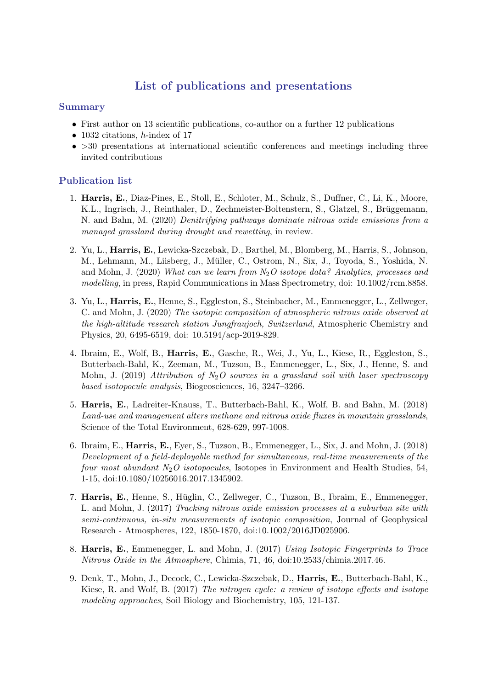## List of publications and presentations

## Summary

- First author on 13 scientific publications, co-author on a further 12 publications
- 1032 citations,  $h$ -index of 17
- $\bullet$  >30 presentations at international scientific conferences and meetings including three invited contributions

## Publication list

- 1. Harris, E., Diaz-Pines, E., Stoll, E., Schloter, M., Schulz, S., Duffner, C., Li, K., Moore, K.L., Ingrisch, J., Reinthaler, D., Zechmeister-Boltenstern, S., Glatzel, S., Brüggemann, N. and Bahn, M. (2020) Denitrifying pathways dominate nitrous oxide emissions from a managed grassland during drought and rewetting, in review.
- 2. Yu, L., Harris, E., Lewicka-Szczebak, D., Barthel, M., Blomberg, M., Harris, S., Johnson, M., Lehmann, M., Liisberg, J., Müller, C., Ostrom, N., Six, J., Toyoda, S., Yoshida, N. and Mohn, J. (2020) What can we learn from  $N_2O$  isotope data? Analytics, processes and modelling, in press, Rapid Communications in Mass Spectrometry, doi: 10.1002/rcm.8858.
- 3. Yu, L., Harris, E., Henne, S., Eggleston, S., Steinbacher, M., Emmenegger, L., Zellweger, C. and Mohn, J. (2020) The isotopic composition of atmospheric nitrous oxide observed at the high-altitude research station Jungfraujoch, Switzerland, Atmospheric Chemistry and Physics, 20, 6495-6519, doi: 10.5194/acp-2019-829.
- 4. Ibraim, E., Wolf, B., Harris, E., Gasche, R., Wei, J., Yu, L., Kiese, R., Eggleston, S., Butterbach-Bahl, K., Zeeman, M., Tuzson, B., Emmenegger, L., Six, J., Henne, S. and Mohn, J. (2019) Attribution of  $N_2O$  sources in a grassland soil with laser spectroscopy based isotopocule analysis, Biogeosciences, 16, 3247–3266.
- 5. Harris, E., Ladreiter-Knauss, T., Butterbach-Bahl, K., Wolf, B. and Bahn, M. (2018) Land-use and management alters methane and nitrous oxide fluxes in mountain grasslands, Science of the Total Environment, 628-629, 997-1008.
- 6. Ibraim, E., Harris, E., Eyer, S., Tuzson, B., Emmenegger, L., Six, J. and Mohn, J. (2018) Development of a field-deployable method for simultaneous, real-time measurements of the four most abundant  $N_2O$  isotopocules, Isotopes in Environment and Health Studies, 54, 1-15, doi:10.1080/10256016.2017.1345902.
- 7. Harris, E., Henne, S., Hüglin, C., Zellweger, C., Tuzson, B., Ibraim, E., Emmenegger, L. and Mohn, J. (2017) Tracking nitrous oxide emission processes at a suburban site with semi-continuous, in-situ measurements of isotopic composition, Journal of Geophysical Research - Atmospheres, 122, 1850-1870, doi:10.1002/2016JD025906.
- 8. Harris, E., Emmenegger, L. and Mohn, J. (2017) Using Isotopic Fingerprints to Trace Nitrous Oxide in the Atmosphere, Chimia, 71, 46, doi:10.2533/chimia.2017.46.
- 9. Denk, T., Mohn, J., Decock, C., Lewicka-Szczebak, D., Harris, E., Butterbach-Bahl, K., Kiese, R. and Wolf, B. (2017) The nitrogen cycle: a review of isotope effects and isotope modeling approaches, Soil Biology and Biochemistry, 105, 121-137.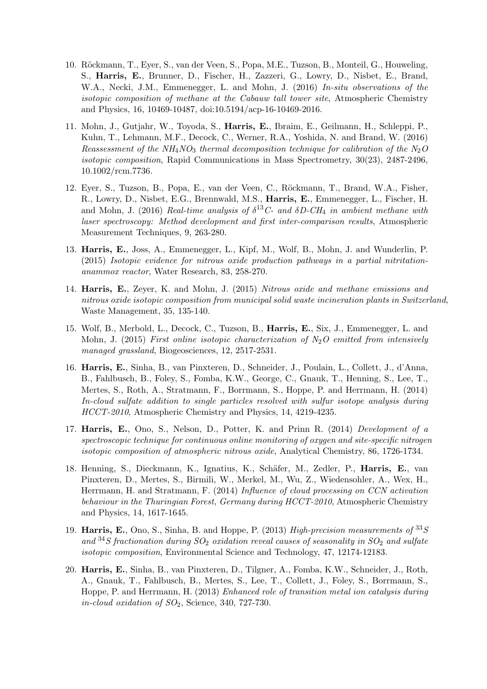- 10. Röckmann, T., Eyer, S., van der Veen, S., Popa, M.E., Tuzson, B., Monteil, G., Houweling, S., Harris, E., Brunner, D., Fischer, H., Zazzeri, G., Lowry, D., Nisbet, E., Brand, W.A., Necki, J.M., Emmenegger, L. and Mohn, J. (2016) In-situ observations of the isotopic composition of methane at the Cabauw tall tower site, Atmospheric Chemistry and Physics, 16, 10469-10487, doi:10.5194/acp-16-10469-2016.
- 11. Mohn, J., Gutjahr, W., Toyoda, S., Harris, E., Ibraim, E., Geilmann, H., Schleppi, P., Kuhn, T., Lehmann, M.F., Decock, C., Werner, R.A., Yoshida, N. and Brand, W. (2016) Reassessment of the NH<sub>4</sub>NO<sub>3</sub> thermal decomposition technique for calibration of the N<sub>2</sub>O isotopic composition, Rapid Communications in Mass Spectrometry, 30(23), 2487-2496, 10.1002/rcm.7736.
- 12. Eyer, S., Tuzson, B., Popa, E., van der Veen, C., Röckmann, T., Brand, W.A., Fisher, R., Lowry, D., Nisbet, E.G., Brennwald, M.S., Harris, E., Emmenegger, L., Fischer, H. and Mohn, J. (2016) Real-time analysis of  $\delta^{13}C$ - and  $\delta D$ -CH<sub>4</sub> in ambient methane with laser spectroscopy: Method development and first inter-comparison results, Atmospheric Measurement Techniques, 9, 263-280.
- 13. Harris, E., Joss, A., Emmenegger, L., Kipf, M., Wolf, B., Mohn, J. and Wunderlin, P. (2015) Isotopic evidence for nitrous oxide production pathways in a partial nitritationanammox reactor, Water Research, 83, 258-270.
- 14. Harris, E., Zeyer, K. and Mohn, J. (2015) Nitrous oxide and methane emissions and nitrous oxide isotopic composition from municipal solid waste incineration plants in Switzerland, Waste Management, 35, 135-140.
- 15. Wolf, B., Merbold, L., Decock, C., Tuzson, B., Harris, E., Six, J., Emmenegger, L. and Mohn, J. (2015) First online isotopic characterization of  $N_2O$  emitted from intensively managed grassland, Biogeosciences, 12, 2517-2531.
- 16. Harris, E., Sinha, B., van Pinxteren, D., Schneider, J., Poulain, L., Collett, J., d'Anna, B., Fahlbusch, B., Foley, S., Fomba, K.W., George, C., Gnauk, T., Henning, S., Lee, T., Mertes, S., Roth, A., Stratmann, F., Borrmann, S., Hoppe, P. and Herrmann, H. (2014) In-cloud sulfate addition to single particles resolved with sulfur isotope analysis during HCCT-2010, Atmospheric Chemistry and Physics, 14, 4219-4235.
- 17. Harris, E., Ono, S., Nelson, D., Potter, K. and Prinn R. (2014) Development of a spectroscopic technique for continuous online monitoring of oxygen and site-specific nitrogen isotopic composition of atmospheric nitrous oxide, Analytical Chemistry, 86, 1726-1734.
- 18. Henning, S., Dieckmann, K., Ignatius, K., Schäfer, M., Zedler, P., **Harris, E.**, van Pinxteren, D., Mertes, S., Birmili, W., Merkel, M., Wu, Z., Wiedensohler, A., Wex, H., Herrmann, H. and Stratmann, F. (2014) Influence of cloud processing on CCN activation behaviour in the Thuringian Forest, Germany during HCCT-2010, Atmospheric Chemistry and Physics, 14, 1617-1645.
- 19. Harris, E., Ono, S., Sinha, B. and Hoppe, P. (2013) High-precision measurements of  $^{33}S$ and <sup>34</sup>S fractionation during  $SO_2$  oxidation reveal causes of seasonality in  $SO_2$  and sulfate isotopic composition, Environmental Science and Technology, 47, 12174-12183.
- 20. Harris, E., Sinha, B., van Pinxteren, D., Tilgner, A., Fomba, K.W., Schneider, J., Roth, A., Gnauk, T., Fahlbusch, B., Mertes, S., Lee, T., Collett, J., Foley, S., Borrmann, S., Hoppe, P. and Herrmann, H. (2013) Enhanced role of transition metal ion catalysis during in-cloud oxidation of  $SO_2$ , Science, 340, 727-730.